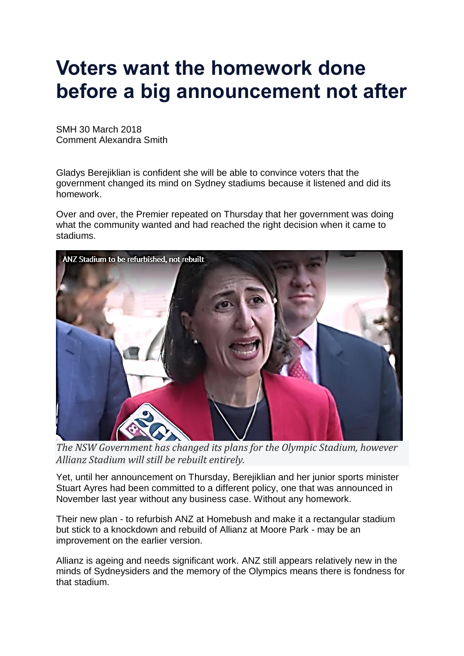## **Voters want the homework done before a big announcement not after**

SMH 30 March 2018 Comment Alexandra Smith

Gladys Berejiklian is confident she will be able to convince voters that the government changed its mind on Sydney stadiums because it listened and did its homework.

Over and over, the Premier repeated on Thursday that her government was doing what the community wanted and had reached the right decision when it came to stadiums.



*The NSW Government has changed its plans for the Olympic Stadium, however Allianz Stadium will still be rebuilt entirely.*

Yet, until her announcement on Thursday, Berejiklian and her junior sports minister Stuart Ayres had been committed to a different policy, one that was announced in November last year without any business case. Without any homework.

Their new plan - to refurbish ANZ at Homebush and make it a rectangular stadium but stick to a knockdown and rebuild of Allianz at Moore Park - may be an improvement on the earlier version.

Allianz is ageing and needs significant work. ANZ still appears relatively new in the minds of Sydneysiders and the memory of the Olympics means there is fondness for that stadium.